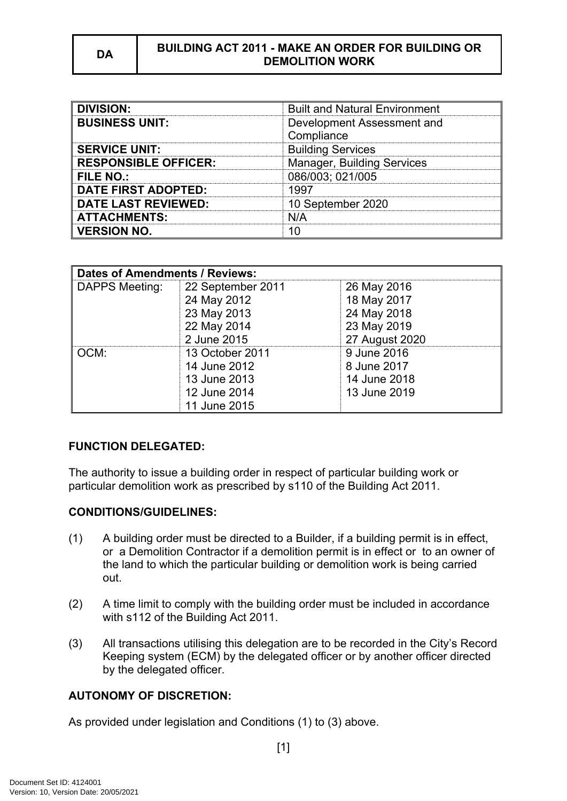#### **DA BUILDING ACT 2011 - MAKE AN ORDER FOR BUILDING OR DEMOLITION WORK**

| <b>DIVISION:</b>            | <b>Built and Natural Environment</b> |  |
|-----------------------------|--------------------------------------|--|
| <b>BUSINESS UNIT:</b>       | Development Assessment and           |  |
|                             | Compliance                           |  |
| <b>SERVICE UNIT:</b>        | <b>Building Services</b>             |  |
| <b>RESPONSIBLE OFFICER:</b> | <b>Manager, Building Services</b>    |  |
| FILE NO.:                   | 086/003; 021/005                     |  |
| <b>DATE FIRST ADOPTED:</b>  | 1997                                 |  |
| <b>DATE LAST REVIEWED:</b>  | 10 September 2020                    |  |
| <b>ATTACHMENTS:</b>         | N/A                                  |  |
| <b>VERSION NO.</b>          | 10                                   |  |

| <b>Dates of Amendments / Reviews:</b> |                   |                |
|---------------------------------------|-------------------|----------------|
| <b>DAPPS Meeting:</b>                 | 22 September 2011 | 26 May 2016    |
|                                       | 24 May 2012       | 18 May 2017    |
|                                       | 23 May 2013       | 24 May 2018    |
|                                       | 22 May 2014       | 23 May 2019    |
|                                       | 2 June 2015       | 27 August 2020 |
| OCM:                                  | 13 October 2011   | 9 June 2016    |
|                                       | 14 June 2012      | 8 June 2017    |
|                                       | 13 June 2013      | 14 June 2018   |
|                                       | 12 June 2014      | 13 June 2019   |
|                                       | 11 June 2015      |                |

# **FUNCTION DELEGATED:**

The authority to issue a building order in respect of particular building work or particular demolition work as prescribed by s110 of the Building Act 2011.

# **CONDITIONS/GUIDELINES:**

- (1) A building order must be directed to a Builder, if a building permit is in effect, or a Demolition Contractor if a demolition permit is in effect or to an owner of the land to which the particular building or demolition work is being carried out.
- (2) A time limit to comply with the building order must be included in accordance with s112 of the Building Act 2011.
- (3) All transactions utilising this delegation are to be recorded in the City's Record Keeping system (ECM) by the delegated officer or by another officer directed by the delegated officer.

# **AUTONOMY OF DISCRETION:**

As provided under legislation and Conditions (1) to (3) above.